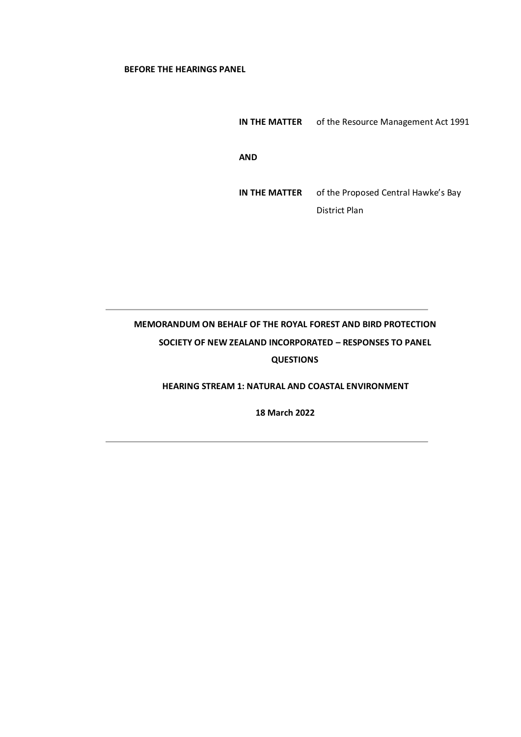## **BEFORE THE HEARINGS PANEL**

**IN THE MATTER** of the Resource Management Act 1991 **AND IN THE MATTER** of the Proposed Central Hawke's Bay District Plan

# **MEMORANDUM ON BEHALF OF THE ROYAL FOREST AND BIRD PROTECTION SOCIETY OF NEW ZEALAND INCORPORATED – RESPONSES TO PANEL QUESTIONS**

# **HEARING STREAM 1: NATURAL AND COASTAL ENVIRONMENT**

**18 March 2022**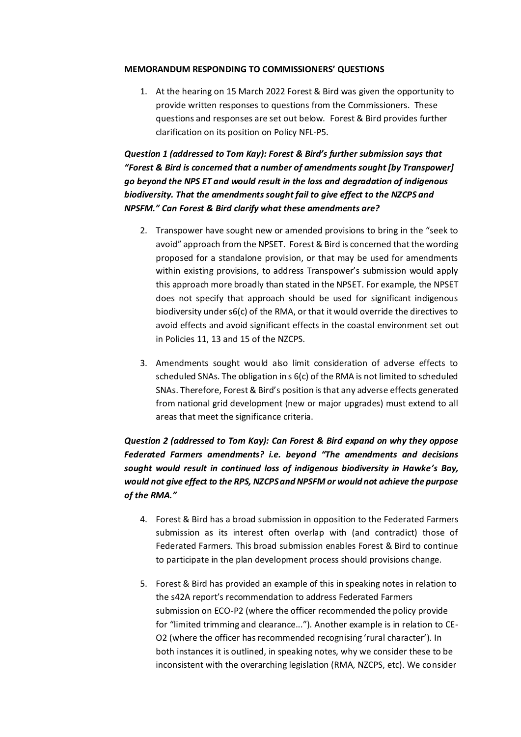### **MEMORANDUM RESPONDING TO COMMISSIONERS' QUESTIONS**

1. At the hearing on 15 March 2022 Forest & Bird was given the opportunity to provide written responses to questions from the Commissioners. These questions and responses are set out below. Forest & Bird provides further clarification on its position on Policy NFL-P5.

*Question 1 (addressed to Tom Kay): Forest & Bird's further submission says that "Forest & Bird is concerned that a number of amendments sought [by Transpower] go beyond the NPS ET and would result in the loss and degradation of indigenous biodiversity. That the amendments sought fail to give effect to the NZCPS and NPSFM." Can Forest & Bird clarify what these amendments are?*

- 2. Transpower have sought new or amended provisions to bring in the "seek to avoid" approach from the NPSET. Forest & Bird is concerned that the wording proposed for a standalone provision, or that may be used for amendments within existing provisions, to address Transpower's submission would apply this approach more broadly than stated in the NPSET. For example, the NPSET does not specify that approach should be used for significant indigenous biodiversity under s6(c) of the RMA, or that it would override the directives to avoid effects and avoid significant effects in the coastal environment set out in Policies 11, 13 and 15 of the NZCPS.
- 3. Amendments sought would also limit consideration of adverse effects to scheduled SNAs. The obligation in s 6(c) of the RMA is not limited to scheduled SNAs. Therefore, Forest & Bird's position is that any adverse effects generated from national grid development (new or major upgrades) must extend to all areas that meet the significance criteria.

# *Question 2 (addressed to Tom Kay): Can Forest & Bird expand on why they oppose Federated Farmers amendments? i.e. beyond "The amendments and decisions sought would result in continued loss of indigenous biodiversity in Hawke's Bay, would not give effect to the RPS, NZCPS and NPSFM or would not achieve the purpose of the RMA."*

- 4. Forest & Bird has a broad submission in opposition to the Federated Farmers submission as its interest often overlap with (and contradict) those of Federated Farmers. This broad submission enables Forest & Bird to continue to participate in the plan development process should provisions change.
- 5. Forest & Bird has provided an example of this in speaking notes in relation to the s42A report's recommendation to address Federated Farmers submission on ECO-P2 (where the officer recommended the policy provide for "limited trimming and clearance..."). Another example is in relation to CE-O2 (where the officer has recommended recognising 'rural character'). In both instances it is outlined, in speaking notes, why we consider these to be inconsistent with the overarching legislation (RMA, NZCPS, etc). We consider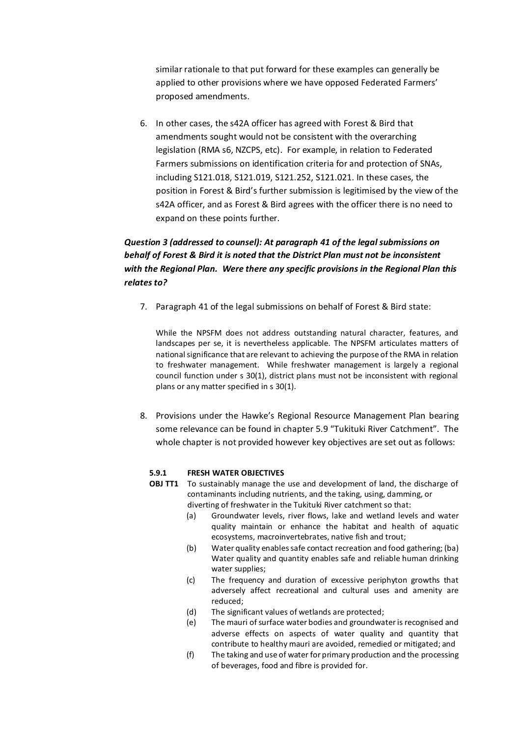similar rationale to that put forward for these examples can generally be applied to other provisions where we have opposed Federated Farmers' proposed amendments.

6. In other cases, the s42A officer has agreed with Forest & Bird that amendments sought would not be consistent with the overarching legislation (RMA s6, NZCPS, etc). For example, in relation to Federated Farmers submissions on identification criteria for and protection of SNAs, including S121.018, S121.019, S121.252, S121.021. In these cases, the position in Forest & Bird's further submission is legitimised by the view of the s42A officer, and as Forest & Bird agrees with the officer there is no need to expand on these points further.

# *Question 3 (addressed to counsel): At paragraph 41 of the legal submissions on behalf of Forest & Bird it is noted that the District Plan must not be inconsistent with the Regional Plan. Were there any specific provisions in the Regional Plan this relates to?*

7. Paragraph 41 of the legal submissions on behalf of Forest & Bird state:

While the NPSFM does not address outstanding natural character, features, and landscapes per se, it is nevertheless applicable. The NPSFM articulates matters of national significance that are relevant to achieving the purpose of the RMA in relation to freshwater management. While freshwater management is largely a regional council function under s 30(1), district plans must not be inconsistent with regional plans or any matter specified in s 30(1).

8. Provisions under the Hawke's Regional Resource Management Plan bearing some relevance can be found in chapter 5.9 "Tukituki River Catchment". The whole chapter is not provided however key objectives are set out as follows:

# **5.9.1 FRESH WATER OBJECTIVES**

- **OBJ TT1** To sustainably manage the use and development of land, the discharge of contaminants including nutrients, and the taking, using, damming, or diverting of freshwater in the Tukituki River catchment so that:
	- (a) Groundwater levels, river flows, lake and wetland levels and water quality maintain or enhance the habitat and health of aquatic ecosystems, macroinvertebrates, native fish and trout;
	- (b) Water quality enables safe contact recreation and food gathering; (ba) Water quality and quantity enables safe and reliable human drinking water supplies;
	- (c) The frequency and duration of excessive periphyton growths that adversely affect recreational and cultural uses and amenity are reduced;
	- (d) The significant values of wetlands are protected;
	- (e) The mauri of surface water bodies and groundwater is recognised and adverse effects on aspects of water quality and quantity that contribute to healthy mauri are avoided, remedied or mitigated; and
	- (f) The taking and use of water for primary production and the processing of beverages, food and fibre is provided for.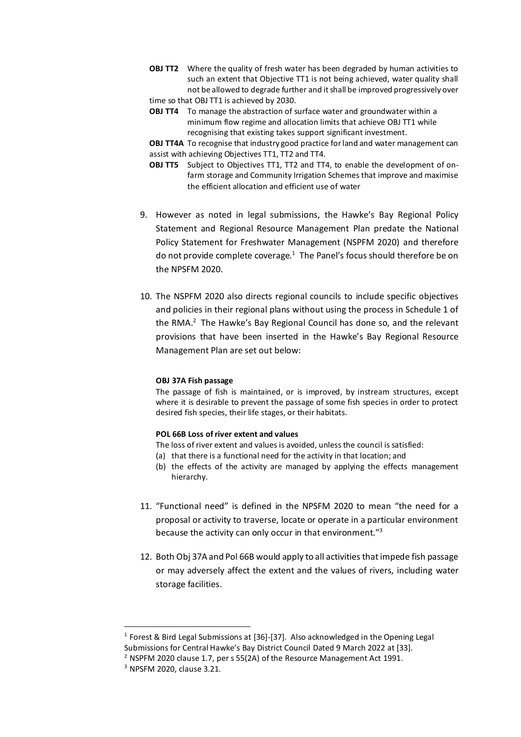**OBJ TT2** Where the quality of fresh water has been degraded by human activities to such an extent that Objective TT1 is not being achieved, water quality shall not be allowed to degrade further and it shall be improved progressively over time so that OBJ TT1 is achieved by 2030.

**OBJ TT4** To manage the abstraction of surface water and groundwater within a minimum flow regime and allocation limits that achieve OBJ TT1 while recognising that existing takes support significant investment.

**OBJ TT4A** To recognise that industry good practice for land and water management can assist with achieving Objectives TT1, TT2 and TT4.

- **OBJ TT5** Subject to Objectives TT1, TT2 and TT4, to enable the development of onfarm storage and Community Irrigation Schemes that improve and maximise the efficient allocation and efficient use of water
- 9. However as noted in legal submissions, the Hawke's Bay Regional Policy Statement and Regional Resource Management Plan predate the National Policy Statement for Freshwater Management (NSPFM 2020) and therefore do not provide complete coverage.<sup>1</sup> The Panel's focus should therefore be on the NPSFM 2020.
- 10. The NSPFM 2020 also directs regional councils to include specific objectives and policies in their regional plans without using the process in Schedule 1 of the RMA.<sup>2</sup> The Hawke's Bay Regional Council has done so, and the relevant provisions that have been inserted in the Hawke's Bay Regional Resource Management Plan are set out below:

#### **OBJ 37A Fish passage**

The passage of fish is maintained, or is improved, by instream structures, except where it is desirable to prevent the passage of some fish species in order to protect desired fish species, their life stages, or their habitats.

#### **POL 66B Loss of river extent and values**

The loss of river extent and values is avoided, unless the council is satisfied:

- (a) that there is a functional need for the activity in that location; and
- (b) the effects of the activity are managed by applying the effects management hierarchy.
- 11. "Functional need" is defined in the NPSFM 2020 to mean "the need for a proposal or activity to traverse, locate or operate in a particular environment because the activity can only occur in that environment."<sup>3</sup>
- 12. Both Obj 37A and Pol 66B would apply to all activities that impede fish passage or may adversely affect the extent and the values of rivers, including water storage facilities.

<sup>&</sup>lt;sup>1</sup> Forest & Bird Legal Submissions at [36]-[37]. Also acknowledged in the Opening Legal Submissions for Central Hawke's Bay District Council Dated 9 March 2022 at [33].

<sup>&</sup>lt;sup>2</sup> NSPFM 2020 clause 1.7, per s 55(2A) of the Resource Management Act 1991.

<sup>3</sup> NPSFM 2020, clause 3.21.